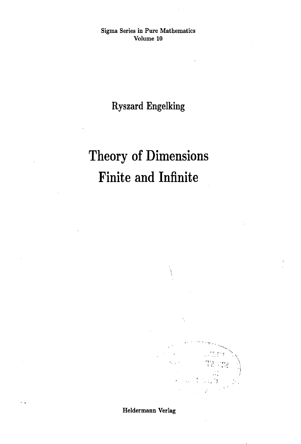Sigma Series in Pure Mathematics Volume 10

**Ryszard Engelking**

# Theory of Dimensions Finite and Infinite



Heldermann Verlag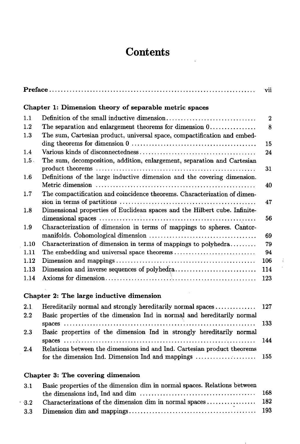## **Contents**

|                                                        |                                                                            | vii            |
|--------------------------------------------------------|----------------------------------------------------------------------------|----------------|
| Chapter 1: Dimension theory of separable metric spaces |                                                                            |                |
| 1.1                                                    |                                                                            | $\overline{2}$ |
| 1.2                                                    | The separation and enlargement theorems for dimension 0                    | 8              |
| 1.3                                                    | The sum, Cartesian product, universal space, compactification and embed-   | 15             |
| 1.4                                                    |                                                                            | 24             |
| $1.5$ .                                                | The sum, decomposition, addition, enlargement, separation and Cartesian    | 31             |
| 1.6                                                    | Definitions of the large inductive dimension and the covering dimension.   |                |
|                                                        |                                                                            | 40             |
| 1.7                                                    | The compactification and coincidence theorems. Characterization of dimen-  | 47             |
| 1.8                                                    | Dimensional properties of Euclidean spaces and the Hilbert cube. Infinite- | 56             |
| 1.9                                                    | Characterization of dimension in terms of mappings to spheres. Cantor-     | 69             |
| 1.10                                                   | Characterization of dimension in terms of mappings to polyhedra            | 79             |
| 1.11                                                   |                                                                            | 94             |
| 1.12                                                   |                                                                            | 106            |
| 1.13                                                   |                                                                            | 114            |
| 1.14                                                   |                                                                            | 123            |

### **Chapter 2: The large inductive dimension**

| 2.1           |                                                                          |  |
|---------------|--------------------------------------------------------------------------|--|
| $2.2^{\circ}$ | Basic properties of the dimension Ind in normal and hereditarily normal  |  |
|               |                                                                          |  |
| 2.3           | Basic properties of the dimension Ind in strongly hereditarily normal    |  |
|               |                                                                          |  |
| 2.4           | Relations between the dimensions ind and Ind. Cartesian product theorems |  |
|               |                                                                          |  |

### **Chapter 3: The covering dimension**

 $\overline{a}$ 

| 3.1             | Basic properties of the dimension dim in normal spaces. Relations between |  |
|-----------------|---------------------------------------------------------------------------|--|
|                 |                                                                           |  |
| 32 <sub>2</sub> |                                                                           |  |
|                 |                                                                           |  |